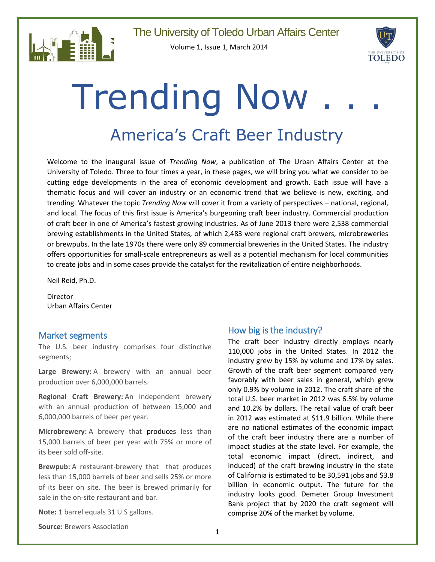

Volume 1, Issue 1, March 2014



# **Trending Now**

# America's Craft Beer Industry

Welcome to the inaugural issue of *Trending Now*, a publication of The Urban Affairs Center at the University of Toledo. Three to four times a year, in these pages, we will bring you what we consider to be cutting edge developments in the area of economic development and growth. Each issue will have a thematic focus and will cover an industry or an economic trend that we believe is new, exciting, and trending. Whatever the topic *Trending Now* will cover it from a variety of perspectives – national, regional, and local. The focus of this first issue is America's burgeoning craft beer industry. Commercial production of craft beer in one of America's fastest growing industries. As of June 2013 there were 2,538 commercial brewing establishments in the United States, of which 2,483 were regional craft brewers, microbreweries or brewpubs. In the late 1970s there were only 89 commercial breweries in the United States. The industry offers opportunities for small-scale entrepreneurs as well as a potential mechanism for local communities to create jobs and in some cases provide the catalyst for the revitalization of entire neighborhoods.

Neil Reid, Ph.D.

Director Urban Affairs Center

#### Market segments

The U.S. beer industry comprises four distinctive segments;

**Large Brewery:** A brewery with an annual beer production over 6,000,000 barrels.

**Regional Craft Brewery:** An independent brewery with an annual production of between 15,000 and 6,000,000 barrels of beer per year.

**Microbrewery:** A brewery that produces less than 15,000 barrels of beer per year with 75% or more of its beer sold off-site.

**Brewpub:** A restaurant-brewery that that produces less than 15,000 barrels of beer and sells 25% or more of its beer on site. The beer is brewed primarily for sale in the on-site restaurant and bar.

**Note:** 1 barrel equals 31 U.S gallons.

**Source:** Brewers Association

#### How big is the industry?

The craft beer industry directly employs nearly 110,000 jobs in the United States. In 2012 the industry grew by 15% by volume and 17% by sales. Growth of the craft beer segment compared very favorably with beer sales in general, which grew only 0.9% by volume in 2012. The craft share of the total U.S. beer market in 2012 was 6.5% by volume and 10.2% by dollars. The retail value of craft beer in 2012 was estimated at \$11.9 billion. While there are no national estimates of the economic impact of the craft beer industry there are a number of impact studies at the state level. For example, the total economic impact (direct, indirect, and induced) of the craft brewing industry in the state of California is estimated to be 30,591 jobs and \$3.8 billion in economic output. The future for the industry looks good. Demeter Group Investment Bank project that by 2020 the craft segment will comprise 20% of the market by volume.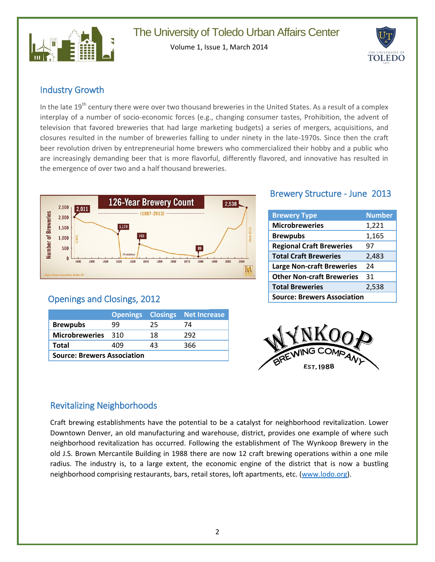

Volume 1, Issue 1, March 2014



#### Industry Growth

In the late 19<sup>th</sup> century there were over two thousand breweries in the United States. As a result of a complex interplay of a number of socio-economic forces (e.g., changing consumer tastes, Prohibition, the advent of television that favored breweries that had large marketing budgets) a series of mergers, acquisitions, and closures resulted in the number of breweries falling to under ninety in the late-1970s. Since then the craft beer revolution driven by entrepreneurial home brewers who commercialized their hobby and a public who are increasingly demanding beer that is more flavorful, differently flavored, and innovative has resulted in the emergence of over two and a half thousand breweries.



## Openings and Closings, 2012

|                                    |       |    | <b>Openings Closings Net Increase</b> |  |
|------------------------------------|-------|----|---------------------------------------|--|
| <b>Brewpubs</b>                    | 99    | 25 | 74                                    |  |
| <b>Microbreweries</b>              | - 310 | 18 | 292                                   |  |
| <b>Total</b>                       | 409   | 43 | 366                                   |  |
| <b>Source: Brewers Association</b> |       |    |                                       |  |

### Brewery Structure - June 2013

| <b>Brewery Type</b>                | <b>Number</b> |  |
|------------------------------------|---------------|--|
| <b>Microbreweries</b>              | 1,221         |  |
| <b>Brewpubs</b>                    | 1,165         |  |
| <b>Regional Craft Breweries</b>    | 97            |  |
| <b>Total Craft Breweries</b>       | 2,483         |  |
| <b>Large Non-craft Breweries</b>   | 24            |  |
| <b>Other Non-craft Breweries</b>   | 31            |  |
| <b>Total Breweries</b>             | 2,538         |  |
| <b>Source: Brewers Association</b> |               |  |



### Revitalizing Neighborhoods

Craft brewing establishments have the potential to be a catalyst for neighborhood revitalization. Lower Downtown Denver, an old manufacturing and warehouse, district, provides one example of where such neighborhood revitalization has occurred. Following the establishment of The Wynkoop Brewery in the old J.S. Brown Mercantile Building in 1988 there are now 12 craft brewing operations within a one mile radius. The industry is, to a large extent, the economic engine of the district that is now a bustling neighborhood comprising restaurants, bars, retail stores, loft apartments, etc. [\(www.lodo.org\)](http://www.lodo.org/).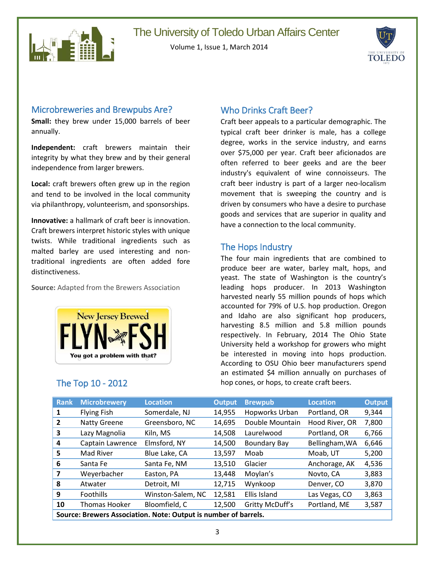

Volume 1, Issue 1, March 2014



#### Microbreweries and Brewpubs Are?

**Small:** they brew under 15,000 barrels of beer annually.

**Independent:** craft brewers maintain their integrity by what they brew and by their general independence from larger brewers.

**Local:** craft brewers often grew up in the region and tend to be involved in the local community via philanthropy, volunteerism, and sponsorships.

**Innovative:** a hallmark of craft beer is innovation. Craft brewers interpret historic styles with unique twists. While traditional ingredients such as malted barley are used interesting and nontraditional ingredients are often added fore distinctiveness.

**Source:** Adapted from the Brewers Association



#### Who Drinks Craft Beer?

Craft beer appeals to a particular demographic. The typical craft beer drinker is male, has a college degree, works in the service industry, and earns over \$75,000 per year. Craft beer aficionados are often referred to beer geeks and are the beer industry's equivalent of wine connoisseurs. The craft beer industry is part of a larger neo-localism movement that is sweeping the country and is driven by consumers who have a desire to purchase goods and services that are superior in quality and have a connection to the local community.

#### The Hops Industry

The four main ingredients that are combined to produce beer are water, barley malt, hops, and yeast. The state of Washington is the country's leading hops producer. In 2013 Washington harvested nearly 55 million pounds of hops which accounted for 79% of U.S. hop production. Oregon and Idaho are also significant hop producers, harvesting 8.5 million and 5.8 million pounds respectively. In February, 2014 The Ohio State University held a workshop for growers who might be interested in moving into hops production. According to OSU Ohio beer manufacturers spend an estimated \$4 million annually on purchases of The Top 10 - 2012 hop cones, or hops, to create craft beers.

| <b>Rank</b>                                                     | <b>Microbrewery</b>  | <b>Location</b>   | <b>Output</b> | <b>Brewpub</b>      | <b>Location</b> | <b>Output</b> |
|-----------------------------------------------------------------|----------------------|-------------------|---------------|---------------------|-----------------|---------------|
| 1                                                               | <b>Flying Fish</b>   | Somerdale, NJ     | 14,955        | Hopworks Urban      | Portland, OR    | 9,344         |
| $\overline{2}$                                                  | <b>Natty Greene</b>  | Greensboro, NC    | 14,695        | Double Mountain     | Hood River, OR  | 7,800         |
| 3                                                               | Lazy Magnolia        | Kiln, MS          | 14,508        | Laurelwood          | Portland, OR    | 6,766         |
| 4                                                               | Captain Lawrence     | Elmsford, NY      | 14,500        | <b>Boundary Bay</b> | Bellingham, WA  | 6,646         |
| 5                                                               | Mad River            | Blue Lake, CA     | 13,597        | Moab                | Moab, UT        | 5,200         |
| 6                                                               | Santa Fe             | Santa Fe, NM      | 13,510        | Glacier             | Anchorage, AK   | 4,536         |
| $\overline{\mathbf{z}}$                                         | Weyerbacher          | Easton, PA        | 13,448        | Moylan's            | Novto, CA       | 3,883         |
| 8                                                               | Atwater              | Detroit, MI       | 12,715        | Wynkoop             | Denver, CO      | 3,870         |
| 9                                                               | Foothills            | Winston-Salem, NC | 12,581        | Ellis Island        | Las Vegas, CO   | 3,863         |
| 10                                                              | <b>Thomas Hooker</b> | Bloomfield, C     | 12,500        | Gritty McDuff's     | Portland, ME    | 3,587         |
| Source: Brewers Association. Note: Output is number of barrels. |                      |                   |               |                     |                 |               |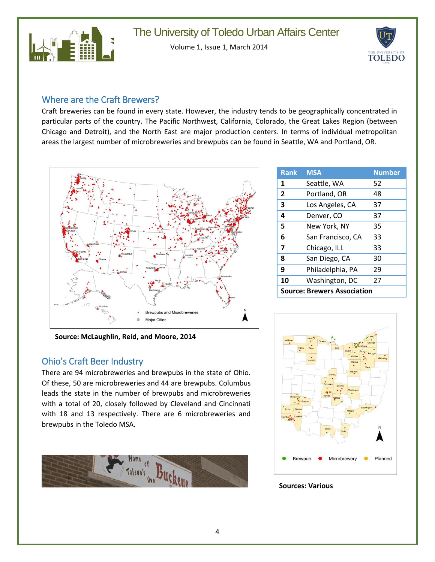

Volume 1, Issue 1, March 2014



#### Where are the Craft Brewers?

Craft breweries can be found in every state. However, the industry tends to be geographically concentrated in particular parts of the country. The Pacific Northwest, California, Colorado, the Great Lakes Region (between Chicago and Detroit), and the North East are major production centers. In terms of individual metropolitan areas the largest number of microbreweries and brewpubs can be found in Seattle, WA and Portland, OR.



| <b>Rank</b>                        | <b>MSA</b>        | <b>Number</b> |  |
|------------------------------------|-------------------|---------------|--|
| 1                                  | Seattle, WA       | 52            |  |
| $\overline{2}$                     | Portland, OR      | 48            |  |
| 3                                  | Los Angeles, CA   | 37            |  |
| 4                                  | Denver, CO        | 37            |  |
| 5                                  | New York, NY      | 35            |  |
| 6                                  | San Francisco, CA | 33            |  |
| $\overline{\mathbf{z}}$            | Chicago, ILL      | 33            |  |
| 8                                  | San Diego, CA     | 30            |  |
| 9                                  | Philadelphia, PA  | 29            |  |
| 10                                 | Washington, DC    | 27            |  |
| <b>Source: Brewers Association</b> |                   |               |  |

**Source: McLaughlin, Reid, and Moore, 2014**

#### Ohio's Craft Beer Industry

There are 94 microbreweries and brewpubs in the state of Ohio. Of these, 50 are microbreweries and 44 are brewpubs. Columbus leads the state in the number of brewpubs and microbreweries with a total of 20, closely followed by Cleveland and Cincinnati with 18 and 13 respectively. There are 6 microbreweries and brewpubs in the Toledo MSA.





#### **Sources: Various**